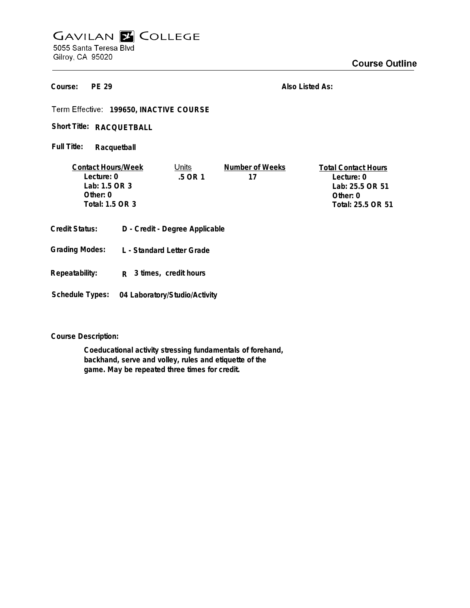## **GAVILAN E COLLEGE** 5055 Santa Teresa Blvd Gilroy, CA 95020

**PE 29 Course:**

**Also Listed As:**

Term Effective: 199650, INACTIVE COURSE

Short Title: RACQUETBALL

**Racquetball Full Title:**

| <b>Contact Hours/Week</b> | Units     | Number of Weeks | <b>Total Contact Hours</b> |
|---------------------------|-----------|-----------------|----------------------------|
| Lecture: 0                | $.5$ OR 1 | 17              | Lecture: 0                 |
| Lab: 1.5 OR 3             |           |                 | Lab: 25.5 OR 51            |
| Other: 0                  |           |                 | Other: 0                   |
| Total: 1.5 OR 3           |           |                 | Total: 25.5 OR 51          |
|                           |           |                 |                            |
|                           |           |                 |                            |

- **Credit Status: D Credit Degree Applicable**
- **L Standard Letter Grade Grading Modes:**
- **Repeatability: R 3 times, credit hours**
- **Schedule Types: 04 Laboratory/Studio/Activity**

**Course Description:**

**Coeducational activity stressing fundamentals of forehand, backhand, serve and volley, rules and etiquette of the game. May be repeated three times for credit.**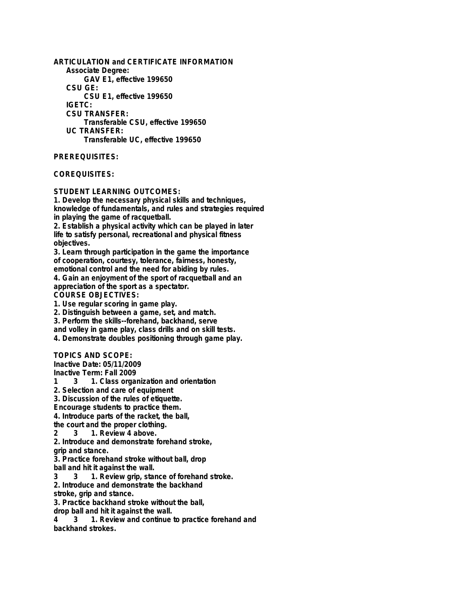**ARTICULATION and CERTIFICATE INFORMATION Associate Degree: GAV E1, effective 199650 CSU GE: CSU E1, effective 199650 IGETC: CSU TRANSFER: Transferable CSU, effective 199650 UC TRANSFER: Transferable UC, effective 199650**

**PREREQUISITES:**

**COREQUISITES:**

**STUDENT LEARNING OUTCOMES:**

**1. Develop the necessary physical skills and techniques, knowledge of fundamentals, and rules and strategies required in playing the game of racquetball.**

**2. Establish a physical activity which can be played in later life to satisfy personal, recreational and physical fitness objectives.**

**3. Learn through participation in the game the importance of cooperation, courtesy, tolerance, fairness, honesty, emotional control and the need for abiding by rules.**

**4. Gain an enjoyment of the sport of racquetball and an appreciation of the sport as a spectator.**

**COURSE OBJECTIVES:**

**1. Use regular scoring in game play.**

**2. Distinguish between a game, set, and match.**

**3. Perform the skills--forehand, backhand, serve**

**and volley in game play, class drills and on skill tests.**

**4. Demonstrate doubles positioning through game play.**

**TOPICS AND SCOPE:**

**Inactive Date: 05/11/2009**

**Inactive Term: Fall 2009**

**1 3 1. Class organization and orientation**

**2. Selection and care of equipment**

**3. Discussion of the rules of etiquette.**

**Encourage students to practice them.**

**4. Introduce parts of the racket, the ball,**

**the court and the proper clothing.**

**2 3 1. Review 4 above.**

**2. Introduce and demonstrate forehand stroke, grip and stance.**

**3. Practice forehand stroke without ball, drop**

**ball and hit it against the wall.**<br>3 3 1. Review grip, sta

**3 3 1. Review grip, stance of forehand stroke.**

**2. Introduce and demonstrate the backhand**

**stroke, grip and stance.**

**3. Practice backhand stroke without the ball,**

**drop ball and hit it against the wall.**

**4 3 1. Review and continue to practice forehand and backhand strokes.**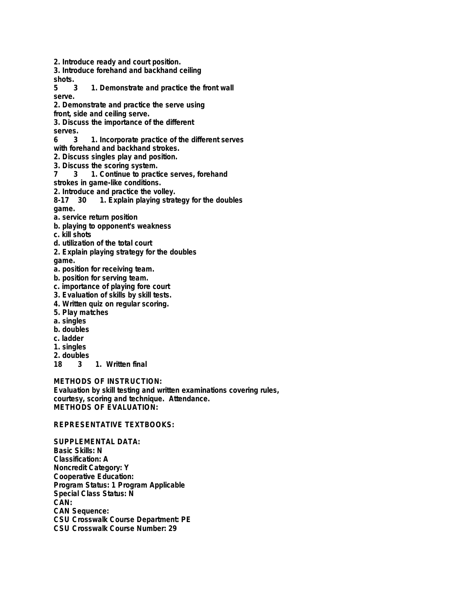**2. Introduce ready and court position.**

**3. Introduce forehand and backhand ceiling**

shots.<br>5 3

**5 3 1. Demonstrate and practice the front wall serve.**

**2. Demonstrate and practice the serve using**

**front, side and ceiling serve.**

**3. Discuss the importance of the different**

**serves.**

**6 3 1. Incorporate practice of the different serves**

**with forehand and backhand strokes.**

**2. Discuss singles play and position.**

**3. Discuss the scoring system.**

**7 3 1. Continue to practice serves, forehand**

**strokes in game-like conditions.**

**2. Introduce and practice the volley.**

**8-17 30 1. Explain playing strategy for the doubles game.**

- **a. service return position**
- **b. playing to opponent's weakness**

**c. kill shots**

- **d. utilization of the total court**
- **2. Explain playing strategy for the doubles**

**game.**

**a. position for receiving team.**

- **b. position for serving team.**
- **c. importance of playing fore court**
- **3. Evaluation of skills by skill tests.**
- **4. Written quiz on regular scoring.**
- **5. Play matches**
- **a. singles**
- **b. doubles**
- **c. ladder**
- **1. singles**
- **2. doubles**

**1. Written final** 

**METHODS OF INSTRUCTION:**

**Evaluation by skill testing and written examinations covering rules, courtesy, scoring and technique. Attendance. METHODS OF EVALUATION:**

## **REPRESENTATIVE TEXTBOOKS:**

**SUPPLEMENTAL DATA: Basic Skills: N Classification: A Noncredit Category: Y Cooperative Education: Program Status: 1 Program Applicable Special Class Status: N CAN: CAN Sequence: CSU Crosswalk Course Department: PE CSU Crosswalk Course Number: 29**